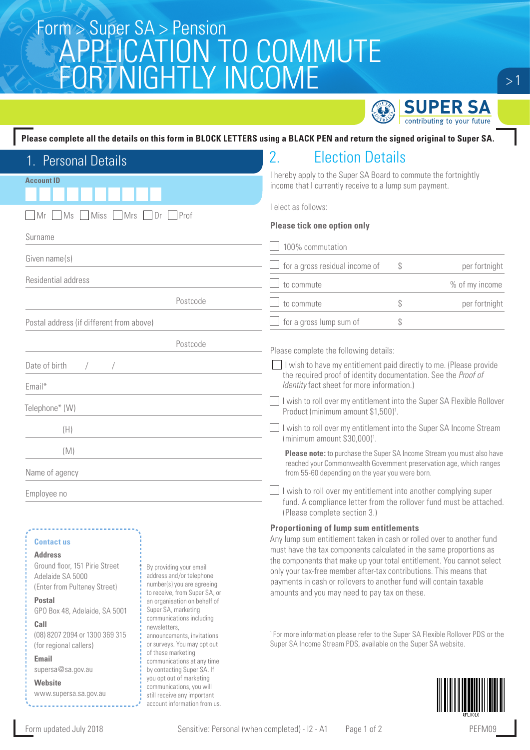## Super SA > Pension<br>CONTINUATION TO CONTINUITE APPLICATION TO COMMUTE FORTNIGHTLY INCOME



 $>1$ 

| 1. Personal Details                                                         | <b>Election Details</b>                                                                                                                                                            |
|-----------------------------------------------------------------------------|------------------------------------------------------------------------------------------------------------------------------------------------------------------------------------|
| <b>Account ID</b>                                                           | I hereby apply to the Super SA Board to commute the fortnightly<br>income that I currently receive to a lump sum payment.                                                          |
| $\Box$ Dr $\Box$ Prof<br><b>Miss</b><br><b>Mrs</b><br>Ms<br>l Mr<br>Surname | I elect as follows:<br><b>Please tick one option only</b><br>100% commutation                                                                                                      |
| Given name(s)                                                               | for a gross residual income of<br>\$<br>per fortnight                                                                                                                              |
| Residential address                                                         | % of my income<br>to commute                                                                                                                                                       |
| Postcode                                                                    | \$<br>per fortnight<br>to commute                                                                                                                                                  |
| Postal address (if different from above)                                    | for a gross lump sum of<br>\$                                                                                                                                                      |
| Postcode                                                                    | Please complete the following details:                                                                                                                                             |
| Date of birth<br>Email*                                                     | I wish to have my entitlement paid directly to me. (Please provide<br>the required proof of identity documentation. See the Proof of<br>Identity fact sheet for more information.) |
| Telephone* (W)                                                              | I wish to roll over my entitlement into the Super SA Flexible Rollover<br>Product (minimum amount \$1,500) <sup>1</sup> .                                                          |
| (H)                                                                         | I wish to roll over my entitlement into the Super SA Income Stream<br>(minimum amount \$30,000) <sup>1</sup> .                                                                     |
| (M)                                                                         | Please note: to purchase the Super SA Income Stream you must also have                                                                                                             |
| Name of agency                                                              | reached your Commonwealth Government preservation age, which ranges<br>from 55-60 depending on the year you were born.                                                             |
| Employee no                                                                 | I wish to roll over my entitlement into another complying super<br>fund. A compliance letter from the rollover fund must be attached.<br>(Please complete section 3.)              |
| <b>Contact us</b>                                                           | <b>Proportioning of lump sum entitlements</b><br>Any lump sum entitlement taken in cash or rolled over to another fund                                                             |

Ground floor, 151 Pirie Street Adelaide SA 5000 (Enter from Pulteney Street) GPO Box 48, Adelaide, SA 5001 (08) 8207 2094 or 1300 369 315 (for regional callers) supersa@sa.gov.au www.supersa.sa.gov.au By providing your email address and/or telephone number(s) you are agreeing to receive, from Super SA, or an organisation on behalf of Super SA, marketing communications including newsletters, announcements, invitations or surveys. You may opt out of these marketing communications at any time by contacting Super SA. If you opt out of marketing communications, you will still receive any important account information from us.



must have the tax components calculated in the same proportions as the components that make up your total entitlement. You cannot select only your tax-free member after-tax contributions. This means that payments in cash or rollovers to another fund will contain taxable

amounts and you may need to pay tax on these.



**Address**

**Postal** 

**Call** 

**Email**

**Website**